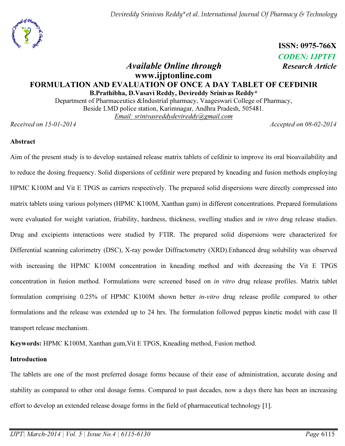Devireddy Srinivas Reddy\*et al. International Journal Of Pharmacy & Technology

 ISSN: 0975-766X CODEN: IJPTFI

# Available Online through Research Article www.ijptonline.com FORMULATION AND EVALUATION OF ONCE A DAY TABLET OF CEFDINIR B.Prathibha, D.Vasavi Reddy, Devireddy Srinivas Reddy\*

Department of Pharmaceutics &Industrial pharmacy, Vaageswari College of Pharmacy, Beside LMD police station, Karimnagar, Andhra Pradesh, 505481*. Email: srinivasreddydevireddy@gmail.com*

*Received on 15-01-2014 Accepted on 08-02-2014*

#### Abstract

Aim of the present study is to develop sustained release matrix tablets of cefdinir to improve its oral bioavailability and to reduce the dosing frequency. Solid dispersions of cefdinir were prepared by kneading and fusion methods employing HPMC K100M and Vit E TPGS as carriers respectively. The prepared solid dispersions were directly compressed into matrix tablets using various polymers (HPMC K100M, Xanthan gum) in different concentrations. Prepared formulations were evaluated for weight variation, friability, hardness, thickness, swelling studies and *in vitro* drug release studies. Drug and excipients interactions were studied by FTIR. The prepared solid dispersions were characterized for Differential scanning calorimetry (DSC), X-ray powder Diffractometry (XRD).Enhanced drug solubility was observed with increasing the HPMC K100M concentration in kneading method and with decreasing the Vit E TPGS concentration in fusion method. Formulations were screened based on *in vitro* drug release profiles. Matrix tablet formulation comprising 0.25% of HPMC K100M shown better *in-vitro* drug release profile compared to other formulations and the release was extended up to 24 hrs. The formulation followed peppas kinetic model with case II transport release mechanism.

Keywords: HPMC K100M, Xanthan gum,Vit E TPGS, Kneading method, Fusion method.

# Introduction

The tablets are one of the most preferred dosage forms because of their ease of administration, accurate dosing and stability as compared to other oral dosage forms. Compared to past decades, now a days there has been an increasing effort to develop an extended release dosage forms in the field of pharmaceutical technology [1].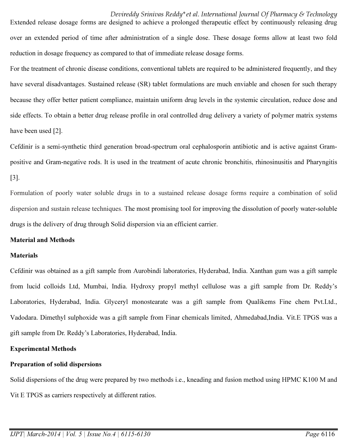#### Devireddy Srinivas Reddy\*et al. International Journal Of Pharmacy & Technology

Extended release dosage forms are designed to achieve a prolonged therapeutic effect by continuously releasing drug over an extended period of time after administration of a single dose. These dosage forms allow at least two fold reduction in dosage frequency as compared to that of immediate release dosage forms.

For the treatment of chronic disease conditions, conventional tablets are required to be administered frequently, and they have several disadvantages. Sustained release (SR) tablet formulations are much enviable and chosen for such therapy because they offer better patient compliance, maintain uniform drug levels in the systemic circulation, reduce dose and side effects. To obtain a better drug release profile in oral controlled drug delivery a variety of polymer matrix systems have been used [2].

Cefdinir is a semi-synthetic third generation broad-spectrum oral cephalosporin antibiotic and is active against Grampositive and Gram-negative rods. It is used in the treatment of acute chronic bronchitis, rhinosinusitis and Pharyngitis [3].

Formulation of poorly water soluble drugs in to a sustained release dosage forms require a combination of solid dispersion and sustain release techniques. The most promising tool for improving the dissolution of poorly water-soluble drugs is the delivery of drug through Solid dispersion via an efficient carrier.

#### Material and Methods

#### **Materials**

Cefdinir was obtained as a gift sample from Aurobindi laboratories, Hyderabad, India. Xanthan gum was a gift sample from lucid colloids Ltd, Mumbai, India. Hydroxy propyl methyl cellulose was a gift sample from Dr. Reddy's Laboratories, Hyderabad, India. Glyceryl monostearate was a gift sample from Qualikems Fine chem Pvt.Ltd., Vadodara. Dimethyl sulphoxide was a gift sample from Finar chemicals limited, Ahmedabad,India. Vit.E TPGS was a gift sample from Dr. Reddy's Laboratories, Hyderabad, India.

#### Experimental Methods

#### Preparation of solid dispersions

Solid dispersions of the drug were prepared by two methods i.e., kneading and fusion method using HPMC K100 M and Vit E TPGS as carriers respectively at different ratios.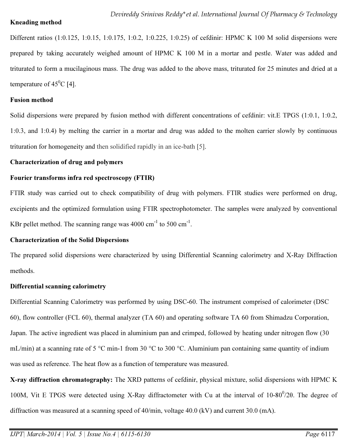# Kneading method

Different ratios (1:0.125, 1:0.15, 1:0.175, 1:0.2, 1:0.225, 1:0.25) of cefdinir: HPMC K 100 M solid dispersions were prepared by taking accurately weighed amount of HPMC K 100 M in a mortar and pestle. Water was added and triturated to form a mucilaginous mass. The drug was added to the above mass, triturated for 25 minutes and dried at a temperature of  $45^{\circ}$ C [4].

# Fusion method

Solid dispersions were prepared by fusion method with different concentrations of cefdinir: vit.E TPGS (1:0.1, 1:0.2, 1:0.3, and 1:0.4) by melting the carrier in a mortar and drug was added to the molten carrier slowly by continuous trituration for homogeneity and then solidified rapidly in an ice-bath [5].

# Characterization of drug and polymers

# Fourier transforms infra red spectroscopy (FTIR)

FTIR study was carried out to check compatibility of drug with polymers. FTIR studies were performed on drug, excipients and the optimized formulation using FTIR spectrophotometer. The samples were analyzed by conventional KBr pellet method. The scanning range was  $4000 \text{ cm}^{-1}$  to  $500 \text{ cm}^{-1}$ .

# Characterization of the Solid Dispersions

The prepared solid dispersions were characterized by using Differential Scanning calorimetry and X-Ray Diffraction methods.

# Differential scanning calorimetry

Differential Scanning Calorimetry was performed by using DSC-60. The instrument comprised of calorimeter (DSC 60), flow controller (FCL 60), thermal analyzer (TA 60) and operating software TA 60 from Shimadzu Corporation, Japan. The active ingredient was placed in aluminium pan and crimped, followed by heating under nitrogen flow (30 mL/min) at a scanning rate of 5 °C min-1 from 30 °C to 300 °C. Aluminium pan containing same quantity of indium was used as reference. The heat flow as a function of temperature was measured.

X-ray diffraction chromatography: The XRD patterns of cefdinir, physical mixture, solid dispersions with HPMC K 100M, Vit E TPGS were detected using X-Ray diffractometer with Cu at the interval of 10-80<sup>0</sup>/2θ. The degree of diffraction was measured at a scanning speed of 40/min, voltage 40.0 (kV) and current 30.0 (mA).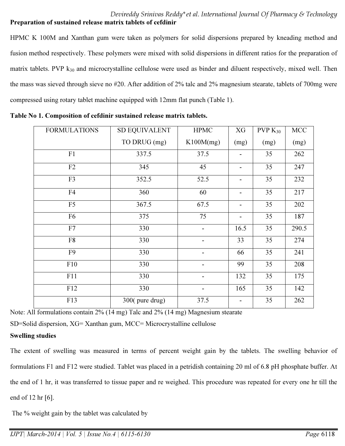# Devireddy Srinivas Reddy\*et al. International Journal Of Pharmacy & Technology Preparation of sustained release matrix tablets of cefdinir

HPMC K 100M and Xanthan gum were taken as polymers for solid dispersions prepared by kneading method and fusion method respectively. These polymers were mixed with solid dispersions in different ratios for the preparation of matrix tablets. PVP  $k_{30}$  and microcrystalline cellulose were used as binder and diluent respectively, mixed well. Then the mass was sieved through sieve no #20. After addition of 2% talc and 2% magnesium stearate, tablets of 700mg were compressed using rotary tablet machine equipped with 12mm flat punch (Table 1).

| <b>FORMULATIONS</b> | <b>SD EQUIVALENT</b> | <b>HPMC</b>              | XG   | $PVP K_{30}$ | MCC   |
|---------------------|----------------------|--------------------------|------|--------------|-------|
|                     | TO DRUG (mg)         | K100M(mg)                | (mg) | (mg)         | (mg)  |
| F1                  | 337.5                | 37.5                     |      | 35           | 262   |
| F2                  | 345                  | 45                       | ۰    | 35           | 247   |
| F3                  | 352.5                | 52.5                     | -    | 35           | 232   |
| F4                  | 360                  | 60                       |      | 35           | 217   |
| F <sub>5</sub>      | 367.5                | 67.5                     | -    | 35           | 202   |
| F <sub>6</sub>      | 375                  | 75                       | -    | 35           | 187   |
| ${\rm F}7$          | 330                  | $\overline{\phantom{a}}$ | 16.5 | 35           | 290.5 |
| F8                  | 330                  |                          | 33   | 35           | 274   |
| F <sub>9</sub>      | 330                  |                          | 66   | 35           | 241   |
| F10                 | 330                  |                          | 99   | 35           | 208   |
| F11                 | 330                  | -                        | 132  | 35           | 175   |
| F12                 | 330                  |                          | 165  | 35           | 142   |
| F13                 | $300$ (pure drug)    | 37.5                     |      | 35           | 262   |

|  |  |  |  |  |  | Table No 1. Composition of cefdinir sustained release matrix tablets. |  |
|--|--|--|--|--|--|-----------------------------------------------------------------------|--|
|--|--|--|--|--|--|-----------------------------------------------------------------------|--|

Note: All formulations contain 2% (14 mg) Talc and 2% (14 mg) Magnesium stearate

SD=Solid dispersion, XG= Xanthan gum, MCC= Microcrystalline cellulose

# Swelling studies

The extent of swelling was measured in terms of percent weight gain by the tablets. The swelling behavior of formulations F1 and F12 were studied. Tablet was placed in a petridish containing 20 ml of 6.8 pH phosphate buffer. At the end of 1 hr, it was transferred to tissue paper and re weighed. This procedure was repeated for every one hr till the end of 12 hr [6].

The % weight gain by the tablet was calculated by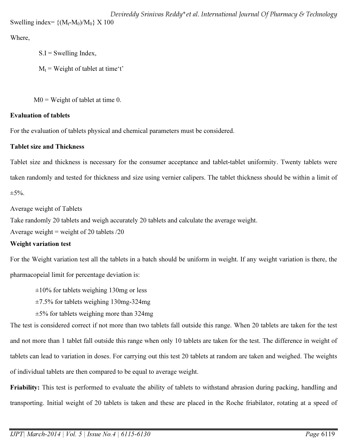Where,

 $S.I = Swelling Index$ ,

 $M_t$  = Weight of tablet at time 't'

 $M0 = Weight of tablet at time 0.$ 

# Evaluation of tablets

For the evaluation of tablets physical and chemical parameters must be considered.

# Tablet size and Thickness

Tablet size and thickness is necessary for the consumer acceptance and tablet-tablet uniformity. Twenty tablets were taken randomly and tested for thickness and size using vernier calipers. The tablet thickness should be within a limit of  $\pm$ 5%.

Average weight of Tablets

Take randomly 20 tablets and weigh accurately 20 tablets and calculate the average weight.

Average weight = weight of 20 tablets  $/20$ 

# Weight variation test

For the Weight variation test all the tablets in a batch should be uniform in weight. If any weight variation is there, the pharmacopeial limit for percentage deviation is:

 $\pm 10\%$  for tablets weighing 130mg or less

±7.5% for tablets weighing 130mg-324mg

 $\pm$ 5% for tablets weighing more than 324mg

The test is considered correct if not more than two tablets fall outside this range. When 20 tablets are taken for the test and not more than 1 tablet fall outside this range when only 10 tablets are taken for the test. The difference in weight of tablets can lead to variation in doses. For carrying out this test 20 tablets at random are taken and weighed. The weights of individual tablets are then compared to be equal to average weight.

Friability: This test is performed to evaluate the ability of tablets to withstand abrasion during packing, handling and transporting. Initial weight of 20 tablets is taken and these are placed in the Roche friabilator, rotating at a speed of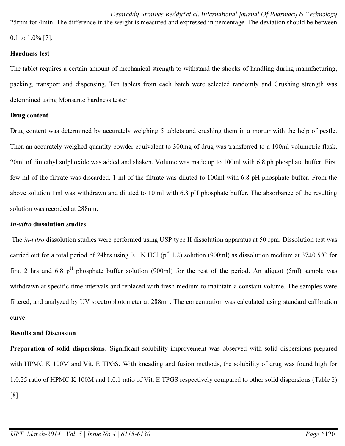Devireddy Srinivas Reddy\*et al. International Journal Of Pharmacy & Technology 25rpm for 4min. The difference in the weight is measured and expressed in percentage. The deviation should be between 0.1 to 1.0% [7].

#### Hardness test

The tablet requires a certain amount of mechanical strength to withstand the shocks of handling during manufacturing, packing, transport and dispensing. Ten tablets from each batch were selected randomly and Crushing strength was determined using Monsanto hardness tester.

# Drug content

Drug content was determined by accurately weighing 5 tablets and crushing them in a mortar with the help of pestle. Then an accurately weighed quantity powder equivalent to 300mg of drug was transferred to a 100ml volumetric flask. 20ml of dimethyl sulphoxide was added and shaken. Volume was made up to 100ml with 6.8 ph phosphate buffer. First few ml of the filtrate was discarded. 1 ml of the filtrate was diluted to 100ml with 6.8 pH phosphate buffer. From the above solution 1ml was withdrawn and diluted to 10 ml with 6.8 pH phosphate buffer. The absorbance of the resulting solution was recorded at 288nm.

# In-vitro dissolution studies

The *in-vitro* dissolution studies were performed using USP type II dissolution apparatus at 50 rpm. Dissolution test was carried out for a total period of 24hrs using 0.1 N HCl ( $p^H$  1.2) solution (900ml) as dissolution medium at 37 $\pm$ 0.5<sup>o</sup>C for first 2 hrs and 6.8  $p^H$  phosphate buffer solution (900ml) for the rest of the period. An aliquot (5ml) sample was withdrawn at specific time intervals and replaced with fresh medium to maintain a constant volume. The samples were filtered, and analyzed by UV spectrophotometer at 288nm. The concentration was calculated using standard calibration curve.

# Results and Discussion

Preparation of solid dispersions: Significant solubility improvement was observed with solid dispersions prepared with HPMC K 100M and Vit. E TPGS. With kneading and fusion methods, the solubility of drug was found high for 1:0.25 ratio of HPMC K 100M and 1:0.1 ratio of Vit. E TPGS respectively compared to other solid dispersions (Table 2) [8].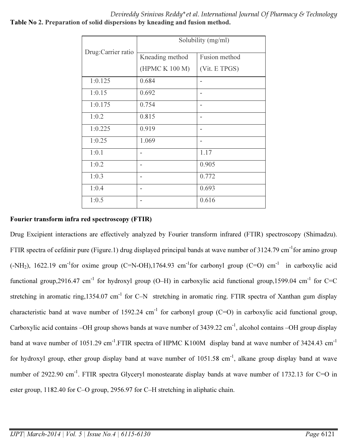Devireddy Srinivas Reddy\*et al. International Journal Of Pharmacy & Technology Table No 2. Preparation of solid dispersions by kneading and fusion method.

|                    | Solubility (mg/ml) |               |  |  |  |  |
|--------------------|--------------------|---------------|--|--|--|--|
| Drug:Carrier ratio | Kneading method    | Fusion method |  |  |  |  |
|                    | (HPMC K 100 M)     | (Vit. E TPGS) |  |  |  |  |
| 1:0.125            | 0.684              |               |  |  |  |  |
| 1:0.15             | 0.692              |               |  |  |  |  |
| 1:0.175            | 0.754              | ۰             |  |  |  |  |
| 1:0.2              | 0.815              |               |  |  |  |  |
| 1:0.225            | 0.919              | ۰             |  |  |  |  |
| 1:0.25             | 1.069              |               |  |  |  |  |
| 1:0.1              |                    | 1.17          |  |  |  |  |
| 1:0.2              |                    | 0.905         |  |  |  |  |
| 1:0.3              |                    | 0.772         |  |  |  |  |
| 1:0.4              |                    | 0.693         |  |  |  |  |
| 1:0.5              |                    | 0.616         |  |  |  |  |

#### Fourier transform infra red spectroscopy (FTIR)

Drug Excipient interactions are effectively analyzed by Fourier transform infrared (FTIR) spectroscopy (Shimadzu). FTIR spectra of cefdinir pure (Figure.1) drug displayed principal bands at wave number of 3124.79 cm<sup>-1</sup>for amino group  $(-NH<sub>2</sub>)$ , 1622.19 cm<sup>-1</sup>for oxime group (C=N-OH),1764.93 cm<sup>-1</sup>for carbonyl group (C=O) cm<sup>-1</sup> in carboxylic acid functional group, 2916.47 cm<sup>-1</sup> for hydroxyl group (O–H) in carboxylic acid functional group, 1599.04 cm<sup>-1</sup> for C=C stretching in aromatic ring,1354.07 cm<sup>-1</sup> for C–N stretching in aromatic ring. FTIR spectra of Xanthan gum display characteristic band at wave number of 1592.24 cm<sup>-1</sup> for carbonyl group (C=O) in carboxylic acid functional group, Carboxylic acid contains –OH group shows bands at wave number of  $3439.22 \text{ cm}^{-1}$ , alcohol contains –OH group display band at wave number of 1051.29 cm<sup>-1</sup>.FTIR spectra of HPMC K100M display band at wave number of 3424.43 cm<sup>-1</sup> for hydroxyl group, ether group display band at wave number of 1051.58 cm<sup>-1</sup>, alkane group display band at wave number of 2922.90 cm<sup>-1</sup>. FTIR spectra Glyceryl monostearate display bands at wave number of 1732.13 for C=O in ester group, 1182.40 for C–O group, 2956.97 for C–H stretching in aliphatic chain.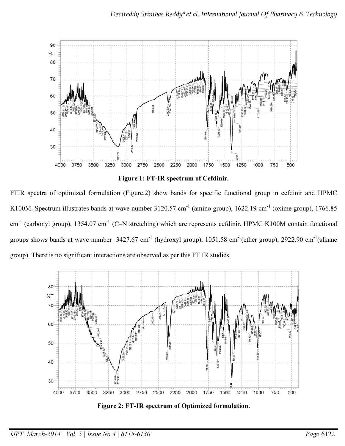

Figure 1: FT-IR spectrum of Cefdinir.

FTIR spectra of optimized formulation (Figure.2) show bands for specific functional group in cefdinir and HPMC K100M. Spectrum illustrates bands at wave number 3120.57 cm<sup>-1</sup> (amino group), 1622.19 cm<sup>-1</sup> (oxime group), 1766.85 cm<sup>-1</sup> (carbonyl group), 1354.07 cm<sup>-1</sup> (C–N stretching) which are represents cefdinir. HPMC K100M contain functional groups shows bands at wave number  $3427.67 \text{ cm}^{-1}$  (hydroxyl group),  $1051.58 \text{ cm}^{-1}$ (ether group),  $2922.90 \text{ cm}^{-1}$ (alkane group). There is no significant interactions are observed as per this FT IR studies.



Figure 2: FT-IR spectrum of Optimized formulation.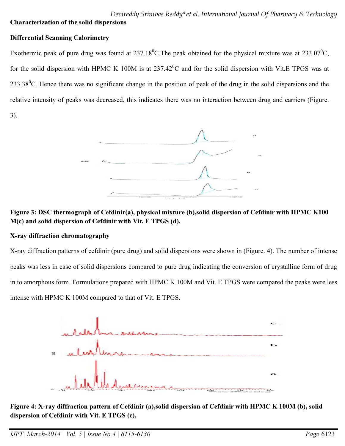# Devireddy Srinivas Reddy\*et al. International Journal Of Pharmacy & Technology Characterization of the solid dispersions

# Differential Scanning Calorimetry

Exothermic peak of pure drug was found at  $237.18^{\circ}$ C. The peak obtained for the physical mixture was at  $233.07^{\circ}$ C, for the solid dispersion with HPMC K 100M is at  $237.42^{\circ}$ C and for the solid dispersion with Vit.E TPGS was at 233.38<sup>0</sup>C. Hence there was no significant change in the position of peak of the drug in the solid dispersions and the relative intensity of peaks was decreased, this indicates there was no interaction between drug and carriers (Figure.

3).



# Figure 3: DSC thermograph of Cefdinir(a), physical mixture (b),solid dispersion of Cefdinir with HPMC K100 M(c) and solid dispersion of Cefdinir with Vit. E TPGS (d).

# X-ray diffraction chromatography

X-ray diffraction patterns of cefdinir (pure drug) and solid dispersions were shown in (Figure. 4). The number of intense peaks was less in case of solid dispersions compared to pure drug indicating the conversion of crystalline form of drug in to amorphous form. Formulations prepared with HPMC K 100M and Vit. E TPGS were compared the peaks were less intense with HPMC K 100M compared to that of Vit. E TPGS.



Figure 4: X-ray diffraction pattern of Cefdinir (a),solid dispersion of Cefdinir with HPMC K 100M (b), solid dispersion of Cefdinir with Vit. E TPGS (c).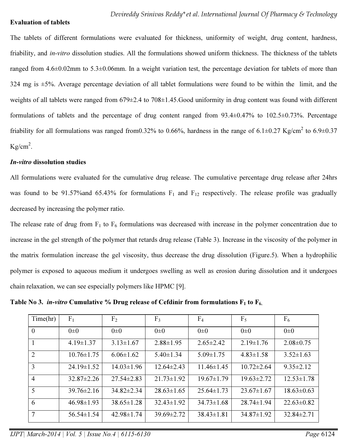#### Evaluation of tablets

The tablets of different formulations were evaluated for thickness, uniformity of weight, drug content, hardness, friability, and *in-vitro* dissolution studies. All the formulations showed uniform thickness. The thickness of the tablets ranged from 4.6±0.02mm to 5.3±0.06mm. In a weight variation test, the percentage deviation for tablets of more than 324 mg is  $\pm$ 5%. Average percentage deviation of all tablet formulations were found to be within the limit, and the weights of all tablets were ranged from 679±2.4 to 708±1.45.Good uniformity in drug content was found with different formulations of tablets and the percentage of drug content ranged from 93.4±0.47% to 102.5±0.73%. Percentage friability for all formulations was ranged from0.32% to 0.66%, hardness in the range of 6.1 $\pm$ 0.27 Kg/cm<sup>2</sup> to 6.9 $\pm$ 0.37  $Kg/cm<sup>2</sup>$ .

#### In-vitro dissolution studies

All formulations were evaluated for the cumulative drug release. The cumulative percentage drug release after 24hrs was found to be 91.57% and 65.43% for formulations  $F_1$  and  $F_{12}$  respectively. The release profile was gradually decreased by increasing the polymer ratio.

The release rate of drug from  $F_1$  to  $F_6$  formulations was decreased with increase in the polymer concentration due to increase in the gel strength of the polymer that retards drug release (Table 3). Increase in the viscosity of the polymer in the matrix formulation increase the gel viscosity, thus decrease the drug dissolution (Figure.5). When a hydrophilic polymer is exposed to aqueous medium it undergoes swelling as well as erosion during dissolution and it undergoes chain relaxation, we can see especially polymers like HPMC [9].

Table No 3. *in-vitro* Cumulative % Drug release of Cefdinir from formulations  $F_1$  to  $F_6$ .

| Time(hr)       | F <sub>1</sub>   | F <sub>2</sub>   | F <sub>3</sub>   | F <sub>4</sub>   | $F_5$            | F <sub>6</sub>   |
|----------------|------------------|------------------|------------------|------------------|------------------|------------------|
| $\theta$       | $0\pm 0$         | $0\pm 0$         | $0\pm 0$         | $0\pm 0$         | $0\pm 0$         | $0\pm 0$         |
|                | $4.19 \pm 1.37$  | $3.13 \pm 1.67$  | $2.88 \pm 1.95$  | $2.65 \pm 2.42$  | $2.19 \pm 1.76$  | $2.08 \pm 0.75$  |
| $\overline{2}$ | $10.76 \pm 1.75$ | $6.06 \pm 1.62$  | $5.40 \pm 1.34$  | $5.09 \pm 1.75$  | $4.83 \pm 1.58$  | $3.52 \pm 1.63$  |
| 3              | $24.19 \pm 1.52$ | $14.03 \pm 1.96$ | $12.64 \pm 2.43$ | $11.46 \pm 1.45$ | $10.72 \pm 2.64$ | $9.35 \pm 2.12$  |
| $\overline{4}$ | $32.87 \pm 2.26$ | $27.54 \pm 2.83$ | $21.73 \pm 1.92$ | $19.67 \pm 1.79$ | $19.63 \pm 2.72$ | $12.53 \pm 1.78$ |
| 5              | $39.76 \pm 2.16$ | $34.82 \pm 2.34$ | $28.63 \pm 1.65$ | $25.64 \pm 1.73$ | $23.67 \pm 1.67$ | $18.63 \pm 0.63$ |
| 6              | $46.98 \pm 1.93$ | $38.65 \pm 1.28$ | $32.43 \pm 1.92$ | $34.73 \pm 1.68$ | $28.74 \pm 1.94$ | $22.63 \pm 0.82$ |
| $\overline{7}$ | $56.54 \pm 1.54$ | $42.98 \pm 1.74$ | $39.69 \pm 2.72$ | $38.43 \pm 1.81$ | $34.87 \pm 1.92$ | $32.84 \pm 2.71$ |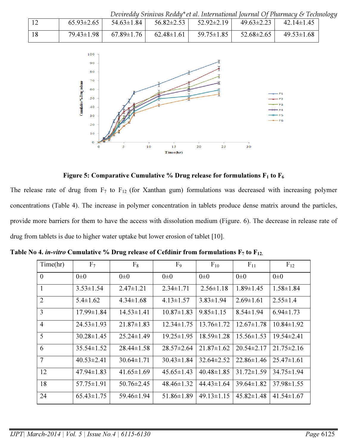|    |                  |                  |                  |                                     |                  | Devireddy Srinivas Reddy*et al. International Journal Of Pharmacy & Technology |  |
|----|------------------|------------------|------------------|-------------------------------------|------------------|--------------------------------------------------------------------------------|--|
|    | $65.93 \pm 2.65$ | $54.63 \pm 1.84$ |                  | $56.82 \pm 2.53$   $52.92 \pm 2.19$ | $49.63 \pm 2.23$ | $42.14 \pm 1.45$                                                               |  |
| 18 | $79.43 \pm 1.98$ | $67.89 \pm 1.76$ | $62.48 \pm 1.61$ | $59.75 \pm 1.85$                    | $52.68 \pm 2.65$ | $49.53 \pm 1.68$                                                               |  |



Figure 5: Comparative Cumulative % Drug release for formulations  $F_1$  to  $F_6$ 

The release rate of drug from  $F_7$  to  $F_{12}$  (for Xanthan gum) formulations was decreased with increasing polymer concentrations (Table 4). The increase in polymer concentration in tablets produce dense matrix around the particles, provide more barriers for them to have the access with dissolution medium (Figure. 6). The decrease in release rate of drug from tablets is due to higher water uptake but lower erosion of tablet [10].

| Time(hr)       | F <sub>7</sub>   | $F_8$            | F <sub>9</sub>   | $F_{10}$         | $F_{11}$         | $F_{12}$         |
|----------------|------------------|------------------|------------------|------------------|------------------|------------------|
| $\Omega$       | $0\pm 0$         | $0\pm 0$         | $0\pm 0$         | $0\pm 0$         | $0\pm 0$         | $0\pm 0$         |
|                | $3.53 \pm 1.54$  | $2.47 \pm 1.21$  | $2.34 \pm 1.71$  | $2.56 \pm 1.18$  | $1.89 \pm 1.45$  | $1.58 \pm 1.84$  |
| 2              | $5.4 \pm 1.62$   | $4.34 \pm 1.68$  | $4.13 \pm 1.57$  | $3.83 \pm 1.94$  | $2.69 \pm 1.61$  | $2.55 \pm 1.4$   |
| 3              | 17.99±1.84       | $14.53 \pm 1.41$ | $10.87 \pm 1.83$ | $9.85 \pm 1.15$  | $8.54 \pm 1.94$  | $6.94 \pm 1.73$  |
| $\overline{4}$ | $24.53 \pm 1.93$ | $21.87 \pm 1.83$ | $12.34 \pm 1.75$ | $13.76 \pm 1.72$ | $12.67 \pm 1.78$ | $10.84 \pm 1.92$ |
| 5              | $30.28 \pm 1.45$ | $25.24 \pm 1.49$ | $19.25 \pm 1.95$ | $18.59 \pm 1.28$ | $15.56\pm1.53$   | $19.54 \pm 2.41$ |
| 6              | $35.54 \pm 1.52$ | $28.44 \pm 1.58$ | $28.57 \pm 2.64$ | $21.87 \pm 1.62$ | $20.54 \pm 2.17$ | $21.75 \pm 2.16$ |
| $\overline{7}$ | $40.53 \pm 2.41$ | $30.64 \pm 1.71$ | $30.43 \pm 1.84$ | $32.64 \pm 2.52$ | $22.86 \pm 1.46$ | $25.47 \pm 1.61$ |
| 12             | $47.94 \pm 1.83$ | $41.65 \pm 1.69$ | $45.65 \pm 1.43$ | $40.48 \pm 1.85$ | $31.72 \pm 1.59$ | $34.75 \pm 1.94$ |
| 18             | $57.75 \pm 1.91$ | $50.76 \pm 2.45$ | $48.46 \pm 1.32$ | $44.43 \pm 1.64$ | $39.64 \pm 1.82$ | $37.98 \pm 1.55$ |
| 24             | $65.43 \pm 1.75$ | 59.46±1.94       | $51.86 \pm 1.89$ | $49.13 \pm 1.15$ | $45.82 \pm 1.48$ | $41.54 \pm 1.67$ |

Table No 4. in-vitro Cumulative % Drug release of Cefdinir from formulations  $F_7$  to  $F_{12}$ .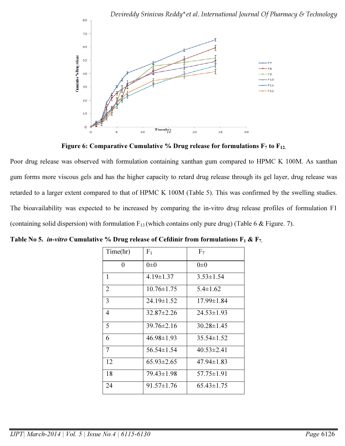

Figure 6: Comparative Cumulative % Drug release for formulations  $F_7$  to  $F_{12}$ .

Poor drug release was observed with formulation containing xanthan gum compared to HPMC K 100M. As xanthan gum forms more viscous gels and has the higher capacity to retard drug release through its gel layer, drug release was retarded to a larger extent compared to that of HPMC K 100M (Table 5). This was confirmed by the swelling studies. The bioavailability was expected to be increased by comparing the in-vitro drug release profiles of formulation F1 (containing solid dispersion) with formulation  $F_{13}$  (which contains only pure drug) (Table 6 & Figure. 7).

| Time(hr)       | F <sub>1</sub>   | F <sub>7</sub>   |
|----------------|------------------|------------------|
| 0              | $0\pm 0$         | $0\pm 0$         |
| 1              | $4.19 \pm 1.37$  | $3.53 \pm 1.54$  |
| $\overline{2}$ | $10.76 \pm 1.75$ | $5.4 \pm 1.62$   |
| 3              | $24.19 \pm 1.52$ | $17.99 \pm 1.84$ |
| 4              | 32.87±2.26       | $24.53 \pm 1.93$ |
| 5              | $39.76 \pm 2.16$ | $30.28 \pm 1.45$ |
| 6              | $46.98 \pm 1.93$ | $35.54 \pm 1.52$ |
| 7              | 56.54±1.54       | $40.53 \pm 2.41$ |
| 12             | $65.93 \pm 2.65$ | $47.94 \pm 1.83$ |
| 18             | 79.43±1.98       | 57.75±1.91       |
| 24             | 91.57±1.76       | $65.43 \pm 1.75$ |

Table No 5. *in-vitro* Cumulative % Drug release of Cefdinir from formulations  $F_1 \& F_7$ .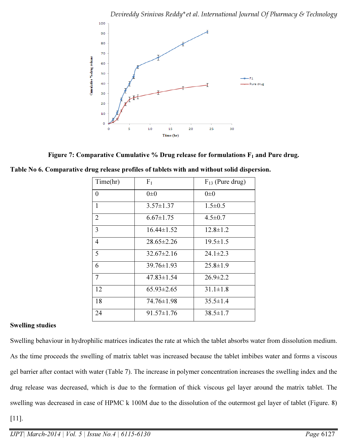

Figure 7: Comparative Cumulative % Drug release for formulations  $F_1$  and Pure drug.

|  |  |  |  |  |  |  | Table No 6. Comparative drug release profiles of tablets with and without solid dispersion. |  |
|--|--|--|--|--|--|--|---------------------------------------------------------------------------------------------|--|
|--|--|--|--|--|--|--|---------------------------------------------------------------------------------------------|--|

| Time(hr)       | F <sub>1</sub>   | $F_{13}$ (Pure drug) |
|----------------|------------------|----------------------|
| $\Omega$       | $0\pm 0$         | $0\pm 0$             |
| $\mathbf{1}$   | $3.57 \pm 1.37$  | $1.5 \pm 0.5$        |
| $\overline{2}$ | $6.67 \pm 1.75$  | $4.5 \pm 0.7$        |
| 3              | $16.44 \pm 1.52$ | $12.8 \pm 1.2$       |
| $\overline{4}$ | $28.65 \pm 2.26$ | $19.5 \pm 1.5$       |
| 5              | $32.67 \pm 2.16$ | $24.1 \pm 2.3$       |
| 6              | $39.76 \pm 1.93$ | $25.8 \pm 1.9$       |
| $\overline{7}$ | $47.83 \pm 1.54$ | $26.9 \pm 2.2$       |
| 12             | $65.93 \pm 2.65$ | $31.1 \pm 1.8$       |
| 18             | 74.76±1.98       | $35.5 \pm 1.4$       |
| 24             | $91.57 \pm 1.76$ | $38.5 \pm 1.7$       |

# Swelling studies

Swelling behaviour in hydrophilic matrices indicates the rate at which the tablet absorbs water from dissolution medium. As the time proceeds the swelling of matrix tablet was increased because the tablet imbibes water and forms a viscous gel barrier after contact with water (Table 7). The increase in polymer concentration increases the swelling index and the drug release was decreased, which is due to the formation of thick viscous gel layer around the matrix tablet. The swelling was decreased in case of HPMC k 100M due to the dissolution of the outermost gel layer of tablet (Figure. 8)

[11].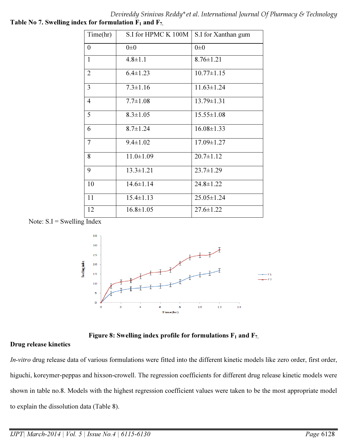Devireddy Srinivas Reddy\*et al. International Journal Of Pharmacy & Technology Table No 7. Swelling index for formulation  $F_1$  and  $F_7$ .

| Time(hr)         | S.I for HPMC K 100M | S.I for Xanthan gum |
|------------------|---------------------|---------------------|
| $\boldsymbol{0}$ | $0\pm 0$            | $0\pm 0$            |
| $\mathbf{1}$     | $4.8 \pm 1.1$       | $8.76 \pm 1.21$     |
| $\overline{2}$   | $6.4 \pm 1.23$      | $10.77 \pm 1.15$    |
| $\overline{3}$   | $7.3 \pm 1.16$      | $11.63 \pm 1.24$    |
| $\overline{4}$   | $7.7 \pm 1.08$      | $13.79 \pm 1.31$    |
| 5                | $8.3 \pm 1.05$      | $15.55 \pm 1.08$    |
| 6                | $8.7 \pm 1.24$      | $16.08 \pm 1.33$    |
| $\overline{7}$   | $9.4 \pm 1.02$      | $17.09 \pm 1.27$    |
| 8                | $11.0 \pm 1.09$     | $20.7 \pm 1.12$     |
| 9                | $13.3 \pm 1.21$     | $23.7 \pm 1.29$     |
| 10               | $14.6 \pm 1.14$     | $24.8 \pm 1.22$     |
| 11               | $15.4 \pm 1.13$     | $25.05 \pm 1.24$    |
| 12               | $16.8 \pm 1.05$     | $27.6 \pm 1.22$     |

Note:  $S.I = Swelling Index$ 



Figure 8: Swelling index profile for formulations  $F_1$  and  $F_7$ .

# Drug release kinetics

*In-vitro* drug release data of various formulations were fitted into the different kinetic models like zero order, first order, higuchi, koreymer-peppas and hixson-crowell. The regression coefficients for different drug release kinetic models were shown in table no.8. Models with the highest regression coefficient values were taken to be the most appropriate model to explain the dissolution data (Table 8).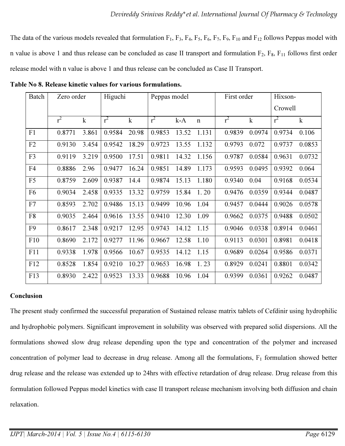The data of the various models revealed that formulation  $F_1$ ,  $F_3$ ,  $F_4$ ,  $F_5$ ,  $F_6$ ,  $F_7$ ,  $F_9$ ,  $F_{10}$  and  $F_{12}$  follows Peppas model with n value is above 1 and thus release can be concluded as case II transport and formulation  $F_2$ ,  $F_8$ ,  $F_{11}$  follows first order release model with n value is above 1 and thus release can be concluded as Case II Transport.

| Batch          | Zero order |             | Higuchi |             | Peppas model |       |             | First order |             | Hixson- |             |
|----------------|------------|-------------|---------|-------------|--------------|-------|-------------|-------------|-------------|---------|-------------|
|                |            |             |         |             |              |       |             |             |             | Crowell |             |
|                | $r^2$      | $\mathbf k$ | $r^2$   | $\mathbf k$ | $r^2$        | $k-A$ | $\mathbf n$ | $r^2$       | $\mathbf k$ | $r^2$   | $\mathbf k$ |
| F1             | 0.8771     | 3.861       | 0.9584  | 20.98       | 0.9853       | 13.52 | 1.131       | 0.9839      | 0.0974      | 0.9734  | 0.106       |
| F2             | 0.9130     | 3.454       | 0.9542  | 18.29       | 0.9723       | 13.55 | 1.132       | 0.9793      | 0.072       | 0.9737  | 0.0853      |
| F3             | 0.9119     | 3.219       | 0.9500  | 17.51       | 0.9811       | 14.32 | 1.156       | 0.9787      | 0.0584      | 0.9631  | 0.0732      |
| F4             | 0.8886     | 2.96        | 0.9477  | 16.24       | 0.9851       | 14.89 | 1.173       | 0.9593      | 0.0495      | 0.9392  | 0.064       |
| F <sub>5</sub> | 0.8759     | 2.609       | 0.9387  | 14.4        | 0.9874       | 15.13 | 1.180       | 0.9340      | 0.04        | 0.9168  | 0.0534      |
| F <sub>6</sub> | 0.9034     | 2.458       | 0.9335  | 13.32       | 0.9759       | 15.84 | 1.20        | 0.9476      | 0.0359      | 0.9344  | 0.0487      |
| F7             | 0.8593     | 2.702       | 0.9486  | 15.13       | 0.9499       | 10.96 | 1.04        | 0.9457      | 0.0444      | 0.9026  | 0.0578      |
| F8             | 0.9035     | 2.464       | 0.9616  | 13.55       | 0.9410       | 12.30 | 1.09        | 0.9662      | 0.0375      | 0.9488  | 0.0502      |
| F <sub>9</sub> | 0.8617     | 2.348       | 0.9217  | 12.95       | 0.9743       | 14.12 | 1.15        | 0.9046      | 0.0338      | 0.8914  | 0.0461      |
| F10            | 0.8690     | 2.172       | 0.9277  | 11.96       | 0.9667       | 12.58 | 1.10        | 0.9113      | 0.0301      | 0.8981  | 0.0418      |
| F11            | 0.9338     | 1.978       | 0.9566  | 10.67       | 0.9535       | 14.12 | 1.15        | 0.9689      | 0.0264      | 0.9586  | 0.0371      |
| F12            | 0.8528     | 1.854       | 0.9210  | 10.27       | 0.9653       | 16.98 | 1.23        | 0.8929      | 0.0241      | 0.8801  | 0.0342      |
| F13            | 0.8930     | 2.422       | 0.9523  | 13.33       | 0.9688       | 10.96 | 1.04        | 0.9399      | 0.0361      | 0.9262  | 0.0487      |

Table No 8. Release kinetic values for various formulations.

# **Conclusion**

The present study confirmed the successful preparation of Sustained release matrix tablets of Cefdinir using hydrophilic and hydrophobic polymers. Significant improvement in solubility was observed with prepared solid dispersions. All the formulations showed slow drug release depending upon the type and concentration of the polymer and increased concentration of polymer lead to decrease in drug release. Among all the formulations,  $F_1$  formulation showed better drug release and the release was extended up to 24hrs with effective retardation of drug release. Drug release from this formulation followed Peppas model kinetics with case II transport release mechanism involving both diffusion and chain relaxation.